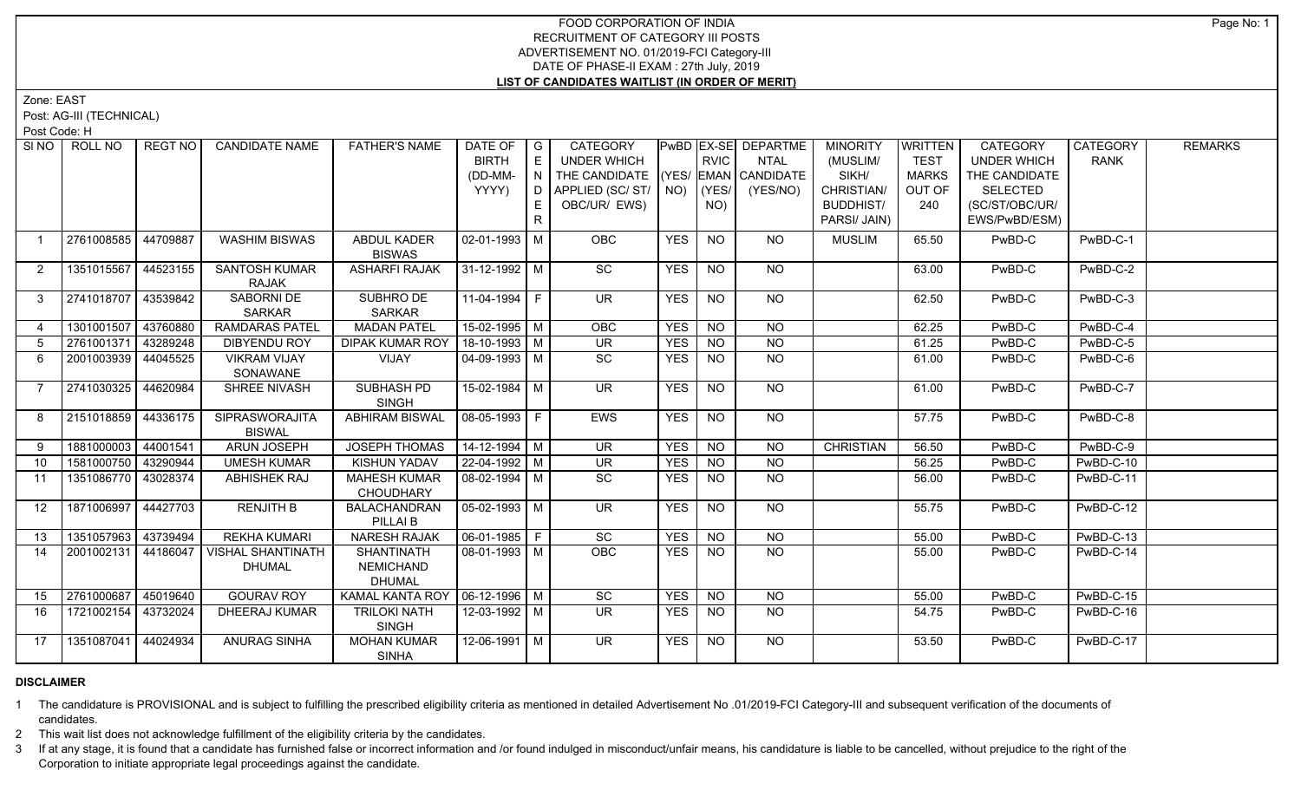## FOOD CORPORATION OF INDIA RECRUITMENT OF CATEGORY III POSTS ADVERTISEMENT NO. 01/2019-FCI Category-III DATE OF PHASE-II EXAM : 27th July, 2019 **LIST OF CANDIDATES WAITLIST (IN ORDER OF MERIT)**

Zone: EAST

Post: AG-III (TECHNICAL)

Post Code: H

| SI NO I           | ROLL NO             | <b>REGT NO</b> | <b>CANDIDATE NAME</b>    | <b>FATHER'S NAME</b>                | DATE OF $ G $<br><b>BIRTH</b> | E   | <b>CATEGORY</b><br>UNDER WHICH     |            | <b>RVIC</b>     | <b>PWBD EX-SE DEPARTME</b><br><b>NTAL</b> | <b>MINORITY</b><br>(MUSLIM/ | <b>WRITTEN</b><br><b>TEST</b> | <b>CATEGORY</b><br><b>UNDER WHICH</b> | CATEGORY<br><b>RANK</b> | <b>REMARKS</b> |
|-------------------|---------------------|----------------|--------------------------|-------------------------------------|-------------------------------|-----|------------------------------------|------------|-----------------|-------------------------------------------|-----------------------------|-------------------------------|---------------------------------------|-------------------------|----------------|
|                   |                     |                |                          |                                     | (DD-MM-                       | IN. | THE CANDIDATE (YES/ EMAN CANDIDATE |            |                 |                                           | SIKH/                       | <b>MARKS</b>                  | THE CANDIDATE                         |                         |                |
|                   |                     |                |                          |                                     | YYYY)                         |     | D   APPLIED (SC/ ST/   NO)         |            | (YES/           | (YES/NO)                                  | CHRISTIAN/                  | OUT OF                        | <b>SELECTED</b>                       |                         |                |
|                   |                     |                |                          |                                     |                               | E.  | OBC/UR/ EWS)                       |            | NO)             |                                           | <b>BUDDHIST/</b>            | 240                           | (SC/ST/OBC/UR/                        |                         |                |
|                   |                     |                |                          |                                     |                               | R   |                                    |            |                 |                                           | PARSI/ JAIN)                |                               | EWS/PwBD/ESM)                         |                         |                |
| $\overline{1}$    | 2761008585          | 44709887       | <b>WASHIM BISWAS</b>     | <b>ABDUL KADER</b><br><b>BISWAS</b> | 02-01-1993   M                |     | <b>OBC</b>                         | <b>YES</b> | <b>NO</b>       | <b>NO</b>                                 | <b>MUSLIM</b>               | 65.50                         | PwBD-C                                | PwBD-C-1                |                |
| 2                 | 1351015567 44523155 |                | <b>SANTOSH KUMAR</b>     | <b>ASHARFI RAJAK</b>                | 31-12-1992   M                |     | SC                                 | <b>YES</b> | <b>NO</b>       | NO                                        |                             | 63.00                         | PwBD-C                                | PwBD-C-2                |                |
|                   |                     |                | RAJAK                    |                                     |                               |     |                                    |            |                 |                                           |                             |                               |                                       |                         |                |
| $\mathbf{3}$      | 2741018707 43539842 |                | SABORNI DE               | <b>SUBHRO DE</b>                    | 11-04-1994   F                |     | $\overline{\mathsf{UR}}$           | <b>YES</b> | <b>NO</b>       | <b>NO</b>                                 |                             | 62.50                         | PwBD-C                                | PwBD-C-3                |                |
|                   |                     |                | <b>SARKAR</b>            | <b>SARKAR</b>                       |                               |     |                                    |            |                 |                                           |                             |                               |                                       |                         |                |
| $\overline{4}$    | 1301001507 43760880 |                | RAMDARAS PATEL           | <b>MADAN PATEL</b>                  | $15-02-1995$ M                |     | OBC                                | <b>YES</b> | N <sub>O</sub>  | $\overline{NO}$                           |                             | 62.25                         | PwBD-C                                | PwBD-C-4                |                |
| 5                 | 2761001371          | 43289248       | <b>DIBYENDU ROY</b>      | <b>DIPAK KUMAR ROY</b>              | $18-10-1993$ M                |     | $\overline{\mathsf{UR}}$           | <b>YES</b> | N <sub>O</sub>  | N <sub>O</sub>                            |                             | 61.25                         | PwBD-C                                | PwBD-C-5                |                |
| 6                 | 2001003939 44045525 |                | <b>VIKRAM VIJAY</b>      | VIJAY                               | 04-09-1993   M                |     | <b>SC</b>                          | <b>YES</b> | NO.             | NO.                                       |                             | 61.00                         | PwBD-C                                | PwBD-C-6                |                |
|                   |                     |                | SONAWANE                 |                                     |                               |     |                                    |            |                 |                                           |                             |                               |                                       |                         |                |
| $\overline{7}$    | 2741030325          | 44620984       | SHREE NIVASH             | SUBHASH PD                          | $15-02-1984$ M                |     | $\overline{\mathsf{UR}}$           | <b>YES</b> | <b>NO</b>       | NO                                        |                             | 61.00                         | PwBD-C                                | PwBD-C-7                |                |
|                   |                     |                |                          | <b>SINGH</b>                        |                               |     |                                    |            |                 |                                           |                             |                               |                                       |                         |                |
| 8                 | 2151018859 44336175 |                | SIPRASWORAJITA           | <b>ABHIRAM BISWAL</b>               | $08-05-1993$ F                |     | <b>EWS</b>                         | <b>YES</b> | <b>NO</b>       | NO                                        |                             | 57.75                         | PwBD-C                                | PwBD-C-8                |                |
|                   |                     |                | <b>BISWAL</b>            |                                     |                               |     |                                    |            |                 |                                           |                             |                               |                                       |                         |                |
| 9                 | 1881000003 44001541 |                | <b>ARUN JOSEPH</b>       | JOSEPH THOMAS                       | $14 - 12 - 1994$ M            |     | <b>UR</b>                          | <b>YES</b> | <b>NO</b>       | <b>NO</b>                                 | <b>CHRISTIAN</b>            | 56.50                         | PwBD-C                                | PwBD-C-9                |                |
| 10                | 1581000750 43290944 |                | <b>UMESH KUMAR</b>       | <b>KISHUN YADAV</b>                 | 22-04-1992 M                  |     | <b>UR</b>                          | <b>YES</b> | <b>NO</b>       | <b>NO</b>                                 |                             | 56.25                         | PwBD-C                                | PwBD-C-10               |                |
| 11                | 1351086770 43028374 |                | <b>ABHISHEK RAJ</b>      | <b>MAHESH KUMAR</b>                 | 08-02-1994   M                |     | <b>SC</b>                          | <b>YES</b> | <b>NO</b>       | <b>NO</b>                                 |                             | 56.00                         | PwBD-C                                | PwBD-C-11               |                |
|                   |                     |                |                          | <b>CHOUDHARY</b>                    |                               |     |                                    |            |                 |                                           |                             |                               |                                       |                         |                |
| $12 \overline{ }$ | 1871006997 44427703 |                | <b>RENJITH B</b>         | <b>BALACHANDRAN</b>                 | 05-02-1993   M                |     | $\overline{\mathsf{UR}}$           | <b>YES</b> | <b>NO</b>       | NO                                        |                             | 55.75                         | PwBD-C                                | PwBD-C-12               |                |
|                   |                     |                |                          | PILLAI B                            |                               |     |                                    |            |                 |                                           |                             |                               |                                       |                         |                |
| 13                | 1351057963 43739494 |                | <b>REKHA KUMARI</b>      | <b>NARESH RAJAK</b>                 | $\boxed{06-01-1985}$ F        |     | $\overline{SC}$                    | <b>YES</b> | N               | $\overline{NO}$                           |                             | 55.00                         | PwBD-C                                | PwBD-C-13               |                |
| 14                | 2001002131 44186047 |                | <b>VISHAL SHANTINATH</b> | <b>SHANTINATH</b>                   | 08-01-1993   M                |     | OBC                                | <b>YES</b> | <b>NO</b>       | NO                                        |                             | 55.00                         | PwBD-C                                | PwBD-C-14               |                |
|                   |                     |                | <b>DHUMAL</b>            | <b>NEMICHAND</b>                    |                               |     |                                    |            |                 |                                           |                             |                               |                                       |                         |                |
|                   |                     |                |                          | <b>DHUMAL</b>                       |                               |     |                                    |            |                 |                                           |                             |                               |                                       |                         |                |
| 15                | 2761000687 45019640 |                | <b>GOURAV ROY</b>        | KAMAL KANTA ROY                     | $\vert$ 06-12-1996 $\vert$ M  |     | $\overline{SC}$                    | <b>YES</b> | $\overline{NO}$ | <b>NO</b>                                 |                             | 55.00                         | PwBD-C                                | PwBD-C-15               |                |
| 16                | 1721002154          | 43732024       | DHEERAJ KUMAR            | <b>TRILOKI NATH</b>                 | 12-03-1992   M                |     | UR.                                | <b>YES</b> | NO.             | NO.                                       |                             | 54.75                         | PwBD-C                                | PwBD-C-16               |                |
|                   |                     |                |                          | <b>SINGH</b>                        |                               |     |                                    |            |                 |                                           |                             |                               |                                       |                         |                |
| 17                | 1351087041 44024934 |                | <b>ANURAG SINHA</b>      | <b>MOHAN KUMAR</b>                  | 12-06-1991   M                |     | UR.                                | <b>YES</b> | <b>NO</b>       | NO.                                       |                             | 53.50                         | PwBD-C                                | PwBD-C-17               |                |
|                   |                     |                |                          | <b>SINHA</b>                        |                               |     |                                    |            |                 |                                           |                             |                               |                                       |                         |                |

## **DISCLAIMER**

1 The candidature is PROVISIONAL and is subject to fulfilling the prescribed eligibility criteria as mentioned in detailed Advertisement No .01/2019-FCI Category-III and subsequent verification of the documents of candidates.

2 This wait list does not acknowledge fulfillment of the eligibility criteria by the candidates.

3 If at any stage, it is found that a candidate has furnished false or incorrect information and /or found indulged in misconduct/unfair means, his candidature is liable to be cancelled, without prejudice to the right of t Corporation to initiate appropriate legal proceedings against the candidate.

Page No: 1